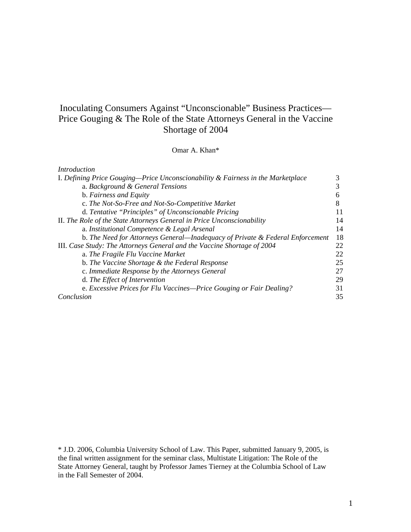# Inoculating Consumers Against "Unconscionable" Business Practices— Price Gouging & The Role of the State Attorneys General in the Vaccine Shortage of 2004

Omar A. Khan\*

| Introduction                                                                    |    |
|---------------------------------------------------------------------------------|----|
| I. Defining Price Gouging—Price Unconscionability & Fairness in the Marketplace |    |
| a. Background & General Tensions                                                | 3  |
| b. Fairness and Equity                                                          |    |
| c. The Not-So-Free and Not-So-Competitive Market                                | 8  |
| d. Tentative "Principles" of Unconscionable Pricing                             | 11 |
| II. The Role of the State Attorneys General in Price Unconscionability          | 14 |
| a. Institutional Competence & Legal Arsenal                                     | 14 |
| b. The Need for Attorneys General—Inadequacy of Private & Federal Enforcement   | 18 |
| III. Case Study: The Attorneys General and the Vaccine Shortage of 2004         | 22 |
| a. The Fragile Flu Vaccine Market                                               | 22 |
| b. The Vaccine Shortage & the Federal Response                                  | 25 |
| c. Immediate Response by the Attorneys General                                  | 27 |
| d. The Effect of Intervention                                                   | 29 |
| e. Excessive Prices for Flu Vaccines—Price Gouging or Fair Dealing?             | 31 |
| Conclusion                                                                      | 35 |

\* J.D. 2006, Columbia University School of Law. This Paper, submitted January 9, 2005, is the final written assignment for the seminar class, Multistate Litigation: The Role of the State Attorney General, taught by Professor James Tierney at the Columbia School of Law in the Fall Semester of 2004.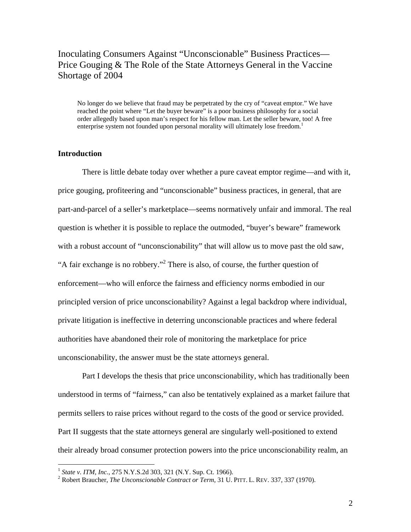# Inoculating Consumers Against "Unconscionable" Business Practices— Price Gouging & The Role of the State Attorneys General in the Vaccine Shortage of 2004

No longer do we believe that fraud may be perpetrated by the cry of "caveat emptor." We have reached the point where "Let the buyer beware" is a poor business philosophy for a social order allegedly based upon man's respect for his fellow man. Let the seller beware, too! A free enterprise system not founded upon personal morality will ultimately lose freedom.<sup>1</sup>

# **Introduction**

 $\overline{a}$ 

There is little debate today over whether a pure caveat emptor regime—and with it, price gouging, profiteering and "unconscionable" business practices, in general, that are part-and-parcel of a seller's marketplace—seems normatively unfair and immoral. The real question is whether it is possible to replace the outmoded, "buyer's beware" framework with a robust account of "unconscionability" that will allow us to move past the old saw, "A fair exchange is no robbery."<sup>2</sup> There is also, of course, the further question of enforcement—who will enforce the fairness and efficiency norms embodied in our principled version of price unconscionability? Against a legal backdrop where individual, private litigation is ineffective in deterring unconscionable practices and where federal authorities have abandoned their role of monitoring the marketplace for price unconscionability, the answer must be the state attorneys general.

Part I develops the thesis that price unconscionability, which has traditionally been understood in terms of "fairness," can also be tentatively explained as a market failure that permits sellers to raise prices without regard to the costs of the good or service provided. Part II suggests that the state attorneys general are singularly well-positioned to extend their already broad consumer protection powers into the price unconscionability realm, an

<sup>&</sup>lt;sup>1</sup> *State v. ITM, Inc., 275 N.Y.S.2d 303, 321 (N.Y. Sup. Ct. 1966).* 

<sup>&</sup>lt;sup>2</sup> Robert Braucher, *The Unconscionable Contract or Term*, 31 U. PITT. L. REV. 337, 337 (1970).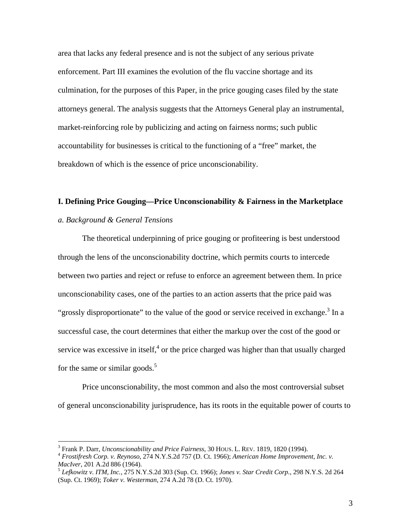area that lacks any federal presence and is not the subject of any serious private enforcement. Part III examines the evolution of the flu vaccine shortage and its culmination, for the purposes of this Paper, in the price gouging cases filed by the state attorneys general. The analysis suggests that the Attorneys General play an instrumental, market-reinforcing role by publicizing and acting on fairness norms; such public accountability for businesses is critical to the functioning of a "free" market, the breakdown of which is the essence of price unconscionability.

# **I. Defining Price Gouging—Price Unconscionability & Fairness in the Marketplace**

# *a. Background & General Tensions*

 $\overline{a}$ 

The theoretical underpinning of price gouging or profiteering is best understood through the lens of the unconscionability doctrine, which permits courts to intercede between two parties and reject or refuse to enforce an agreement between them. In price unconscionability cases, one of the parties to an action asserts that the price paid was "grossly disproportionate" to the value of the good or service received in exchange.<sup>3</sup> In a successful case, the court determines that either the markup over the cost of the good or service was excessive in itself, $4$  or the price charged was higher than that usually charged for the same or similar goods. $5$ 

Price unconscionability, the most common and also the most controversial subset of general unconscionability jurisprudence, has its roots in the equitable power of courts to

 $3$  Frank P. Darr, Unconscionability and Price Fairness, 30 HOUS. L. REV. 1819, 1820 (1994).

<sup>&</sup>lt;sup>4</sup> Frostifresh Corp. v. Reynoso, 274 N.Y.S.2d 757 (D. Ct. 1966); *American Home Improvement, Inc. v. MacIver*, 201 A.2d 886 (1964).

*MacIver*, 201 A.2d 886 (1964). 5 *Lefkowitz v. ITM, Inc.*, 275 N.Y.S.2d 303 (Sup. Ct. 1966); *Jones v. Star Credit Corp.*, 298 N.Y.S. 2d 264 (Sup. Ct. 1969); *Toker v. Westerman*, 274 A.2d 78 (D. Ct. 1970).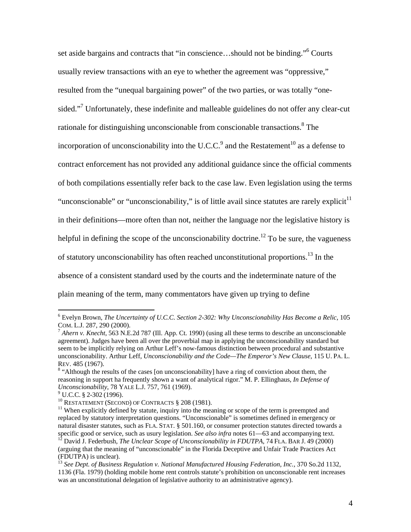set aside bargains and contracts that "in conscience...should not be binding."<sup>6</sup> Courts usually review transactions with an eye to whether the agreement was "oppressive," resulted from the "unequal bargaining power" of the two parties, or was totally "onesided."<sup>7</sup> Unfortunately, these indefinite and malleable guidelines do not offer any clear-cut rationale for distinguishing unconscionable from conscionable transactions.<sup>8</sup> The incorporation of unconscionability into the U.C.C.<sup>9</sup> and the Restatement<sup>10</sup> as a defense to contract enforcement has not provided any additional guidance since the official comments of both compilations essentially refer back to the case law. Even legislation using the terms "unconscionable" or "unconscionability," is of little avail since statutes are rarely explicit<sup>11</sup> in their definitions—more often than not, neither the language nor the legislative history is helpful in defining the scope of the unconscionability doctrine.<sup>12</sup> To be sure, the vagueness of statutory unconscionability has often reached unconstitutional proportions.<sup>13</sup> In the absence of a consistent standard used by the courts and the indeterminate nature of the plain meaning of the term, many commentators have given up trying to define

<sup>6</sup> Evelyn Brown, *The Uncertainty of U.C.C. Section 2-302: Why Unconscionability Has Become a Relic*, 105 COM. L.J. 287, 290 (2000). 7 *Ahern v. Knecht*, 563 N.E.2d 787 (Ill. App. Ct. 1990) (using all these terms to describe an unconscionable

agreement). Judges have been all over the proverbial map in applying the unconscionability standard but seem to be implicitly relying on Arthur Leff's now-famous distinction between procedural and substantive unconscionability. Arthur Leff, *Unconscionability and the Code—The Emperor's New Clause*, 115 U. PA. L. REV. 485 (1967). 8

<sup>&</sup>lt;sup>8</sup> "Although the results of the cases [on unconscionability] have a ring of conviction about them, the reasoning in support ha frequently shown a want of analytical rigor." M. P. Ellinghaus*, In Defense of Unconscionability*, 78 YALE L.J. 757, 761 (1969).<br><sup>9</sup> U.C.C. § 2-302 (1996).

<sup>&</sup>lt;sup>10</sup> RESTATEMENT (SECOND) OF CONTRACTS § 208 (1981). <sup>11</sup> When explicitly defined by statute, inquiry into the meaning or scope of the term is preempted and  $\frac{1}{10}$ replaced by statutory interpretation questions. "Unconscionable" is sometimes defined in emergency or natural disaster statutes, such as FLA. STAT. § 501.160, or consumer protection statutes directed towards a specific good or service, such as usury legislation. See also infra notes 61—63 and accompanying text.

<sup>&</sup>lt;sup>12</sup> David J. Federbush, *The Unclear Scope of Unconscionability in FDUTPA*, 74 FLA. BAR J. 49 (2000) (arguing that the meaning of "unconscionable" in the Florida Deceptive and Unfair Trade Practices Act (FDUTPA) is unclear).

<sup>13</sup> *See Dept. of Business Regulation v. National Manufactured Housing Federation, Inc.,* 370 So.2d 1132, 1136 (Fla. 1979) (holding mobile home rent controls statute's prohibition on unconscionable rent increases was an unconstitutional delegation of legislative authority to an administrative agency).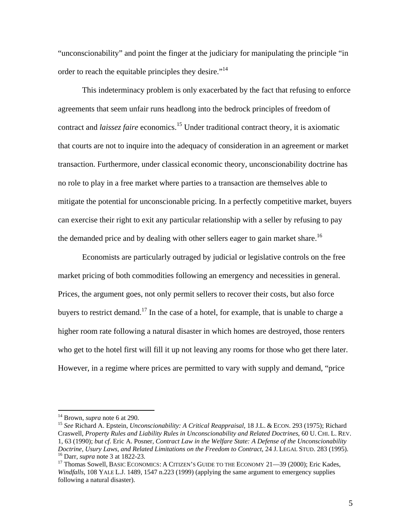"unconscionability" and point the finger at the judiciary for manipulating the principle "in order to reach the equitable principles they desire."<sup>14</sup>

 This indeterminacy problem is only exacerbated by the fact that refusing to enforce agreements that seem unfair runs headlong into the bedrock principles of freedom of contract and *laissez faire* economics.<sup>15</sup> Under traditional contract theory, it is axiomatic that courts are not to inquire into the adequacy of consideration in an agreement or market transaction. Furthermore, under classical economic theory, unconscionability doctrine has no role to play in a free market where parties to a transaction are themselves able to mitigate the potential for unconscionable pricing. In a perfectly competitive market, buyers can exercise their right to exit any particular relationship with a seller by refusing to pay the demanded price and by dealing with other sellers eager to gain market share.<sup>16</sup>

 Economists are particularly outraged by judicial or legislative controls on the free market pricing of both commodities following an emergency and necessities in general. Prices, the argument goes, not only permit sellers to recover their costs, but also force buyers to restrict demand.<sup>17</sup> In the case of a hotel, for example, that is unable to charge a higher room rate following a natural disaster in which homes are destroyed, those renters who get to the hotel first will fill it up not leaving any rooms for those who get there later. However, in a regime where prices are permitted to vary with supply and demand, "price

<sup>&</sup>lt;sup>14</sup> Brown, *supra* note 6 at 290.<br><sup>15</sup> *See* Richard A. Epstein, *Unconscionability: A Critical Reappraisal*, 18 J.L. & ECON. 293 (1975); Richard Craswell, *Property Rules and Liability Rules in Unconscionability and Related Doctrines*, 60 U. CHI. L. REV. 1, 63 (1990); *but cf*. Eric A. Posner*, Contract Law in the Welfare State: A Defense of the Unconscionability*  Doctrine, Usury Laws, and Related Limitations on the Freedom to Contract, 24 J. LEGAL STUD. 283 (1995).<br><sup>16</sup> Darr, *supra* note 3 at 1822-23.<br><sup>17</sup> Thomas Sowell, BASIC ECONOMICS: A CITIZEN'S GUIDE TO THE ECONOMY 21—39 (200

*Windfalls*, 108 YALE L.J. 1489, 1547 n.223 (1999) (applying the same argument to emergency supplies following a natural disaster).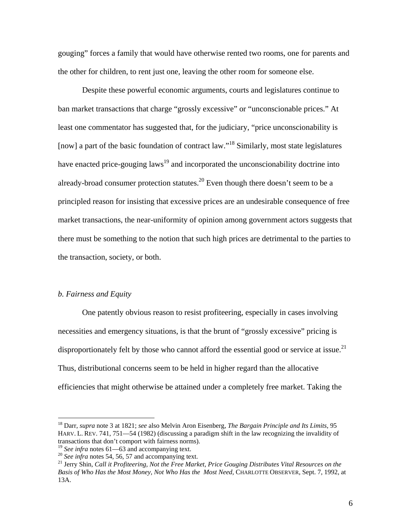gouging" forces a family that would have otherwise rented two rooms, one for parents and the other for children, to rent just one, leaving the other room for someone else.

 Despite these powerful economic arguments, courts and legislatures continue to ban market transactions that charge "grossly excessive" or "unconscionable prices." At least one commentator has suggested that, for the judiciary, "price unconscionability is [now] a part of the basic foundation of contract law."<sup>18</sup> Similarly, most state legislatures have enacted price-gouging laws<sup>19</sup> and incorporated the unconscionability doctrine into already-broad consumer protection statutes.<sup>20</sup> Even though there doesn't seem to be a principled reason for insisting that excessive prices are an undesirable consequence of free market transactions, the near-uniformity of opinion among government actors suggests that there must be something to the notion that such high prices are detrimental to the parties to the transaction, society, or both.

# *b. Fairness and Equity*

 $\overline{a}$ 

 One patently obvious reason to resist profiteering, especially in cases involving necessities and emergency situations, is that the brunt of "grossly excessive" pricing is disproportionately felt by those who cannot afford the essential good or service at issue.<sup>21</sup> Thus, distributional concerns seem to be held in higher regard than the allocative efficiencies that might otherwise be attained under a completely free market. Taking the

<sup>18</sup> Darr, *supra* note 3 at 1821; *see* also Melvin Aron Eisenberg, *The Bargain Principle and Its Limits*, 95 HARV. L. REV. 741, 751—54 (1982) (discussing a paradigm shift in the law recognizing the invalidity of transactions that don't comport with fairness norms).

<sup>&</sup>lt;sup>19</sup> See infra notes 61—63 and accompanying text.<br><sup>20</sup> See infra notes 54, 56, 57 and accompanying text.<br><sup>21</sup> Jerry Shin, *Call it Profiteering, Not the Free Market, Price Gouging Distributes Vital Resources on the Basis of Who Has the Most Money, Not Who Has the Most Need*, CHARLOTTE OBSERVER, Sept. 7, 1992, at 13A.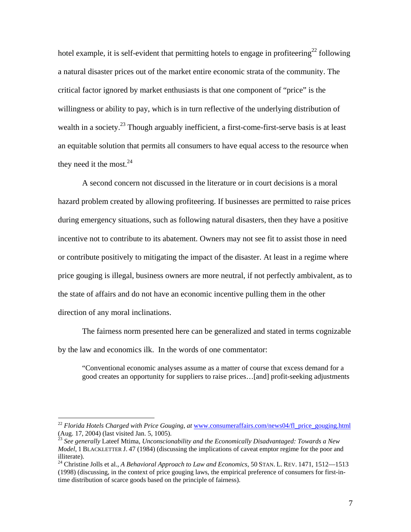hotel example, it is self-evident that permitting hotels to engage in profiteering<sup>22</sup> following a natural disaster prices out of the market entire economic strata of the community. The critical factor ignored by market enthusiasts is that one component of "price" is the willingness or ability to pay, which is in turn reflective of the underlying distribution of wealth in a society.<sup>23</sup> Though arguably inefficient, a first-come-first-serve basis is at least an equitable solution that permits all consumers to have equal access to the resource when they need it the most. $24$ 

 A second concern not discussed in the literature or in court decisions is a moral hazard problem created by allowing profiteering. If businesses are permitted to raise prices during emergency situations, such as following natural disasters, then they have a positive incentive not to contribute to its abatement. Owners may not see fit to assist those in need or contribute positively to mitigating the impact of the disaster. At least in a regime where price gouging is illegal, business owners are more neutral, if not perfectly ambivalent, as to the state of affairs and do not have an economic incentive pulling them in the other direction of any moral inclinations.

 The fairness norm presented here can be generalized and stated in terms cognizable by the law and economics ilk. In the words of one commentator:

"Conventional economic analyses assume as a matter of course that excess demand for a good creates an opportunity for suppliers to raise prices…[and] profit-seeking adjustments

<sup>&</sup>lt;sup>22</sup> *Florida Hotels Charged with Price Gouging, at* www.consumeraffairs.com/news04/fl\_price\_gouging.html (Aug. 17, 2004) (last visited Jan. 5, 1005).

<sup>23</sup> *See generally* Lateef Mtima, *Unconscionability and the Economically Disadvantaged: Towards a New Model*, 1 BLACKLETTER J. 47 (1984) (discussing the implications of caveat emptor regime for the poor and illiterate).

<sup>&</sup>lt;sup>24</sup> Christine Jolls et al., *A Behavioral Approach to Law and Economics*, 50 STAN. L. REV. 1471, 1512-1513 (1998) (discussing, in the context of price gouging laws, the empirical preference of consumers for first-intime distribution of scarce goods based on the principle of fairness).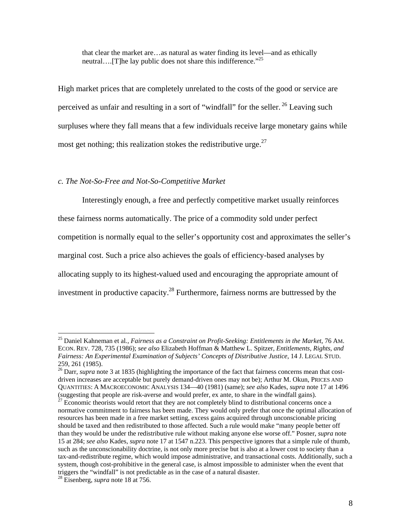that clear the market are…as natural as water finding its level—and as ethically neutral….[T]he lay public does not share this indifference."<sup>25</sup>

High market prices that are completely unrelated to the costs of the good or service are perceived as unfair and resulting in a sort of "windfall" for the seller.<sup>26</sup> Leaving such surpluses where they fall means that a few individuals receive large monetary gains while most get nothing; this realization stokes the redistributive urge. $^{27}$ 

# *c. The Not-So-Free and Not-So-Competitive Market*

Interestingly enough, a free and perfectly competitive market usually reinforces these fairness norms automatically. The price of a commodity sold under perfect competition is normally equal to the seller's opportunity cost and approximates the seller's marginal cost. Such a price also achieves the goals of efficiency-based analyses by allocating supply to its highest-valued used and encouraging the appropriate amount of investment in productive capacity.<sup>28</sup> Furthermore, fairness norms are buttressed by the

<sup>25</sup> Daniel Kahneman et al*., Fairness as a Constraint on Profit-Seeking: Entitlements in the Market*, 76 AM. ECON. REV. 728, 735 (1986); *see also* Elizabeth Hoffman & Matthew L. Spitzer, *Entitlements, Rights, and Fairness: An Experimental Examination of Subjects' Concepts of Distributive Justice*, 14 J. LEGAL STUD. 259, 261 (1985).

<sup>&</sup>lt;sup>26</sup> Darr, *supra* note 3 at 1835 (highlighting the importance of the fact that fairness concerns mean that costdriven increases are acceptable but purely demand-driven ones may not be); Arthur M. Okun, PRICES AND QUANTITIES: A MACROECONOMIC ANALYSIS 134—40 (1981) (same); *see also* Kades, *supra* note 17 at 1496

 $\frac{27}{27}$  Economic theorists would retort that they are not completely blind to distributional concerns once a normative commitment to fairness has been made. They would only prefer that once the optimal allocation of resources has been made in a free market setting, excess gains acquired through unconscionable pricing should be taxed and then redistributed to those affected. Such a rule would make "many people better off than they would be under the redistributive rule without making anyone else worse off." Posner, *supra* note 15 at 284; *see also* Kades, *supra* note 17 at 1547 n.223. This perspective ignores that a simple rule of thumb, such as the unconscionability doctrine, is not only more precise but is also at a lower cost to society than a tax-and-redistribute regime, which would impose administrative, and transactional costs. Additionally, such a system, though cost-prohibitive in the general case, is almost impossible to administer when the event that triggers the "windfall" is not predictable as in the case of a natural disaster.

<sup>28</sup> Eisenberg, *supra* note 18 at 756.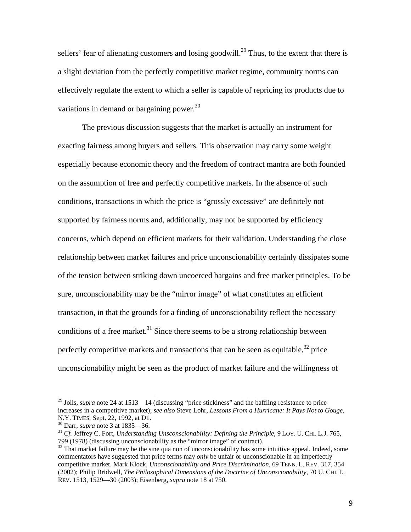sellers' fear of alienating customers and losing goodwill.<sup>29</sup> Thus, to the extent that there is a slight deviation from the perfectly competitive market regime, community norms can effectively regulate the extent to which a seller is capable of repricing its products due to variations in demand or bargaining power.<sup>30</sup>

 The previous discussion suggests that the market is actually an instrument for exacting fairness among buyers and sellers. This observation may carry some weight especially because economic theory and the freedom of contract mantra are both founded on the assumption of free and perfectly competitive markets. In the absence of such conditions, transactions in which the price is "grossly excessive" are definitely not supported by fairness norms and, additionally, may not be supported by efficiency concerns, which depend on efficient markets for their validation. Understanding the close relationship between market failures and price unconscionability certainly dissipates some of the tension between striking down uncoerced bargains and free market principles. To be sure, unconscionability may be the "mirror image" of what constitutes an efficient transaction, in that the grounds for a finding of unconscionability reflect the necessary conditions of a free market.<sup>31</sup> Since there seems to be a strong relationship between perfectly competitive markets and transactions that can be seen as equitable, $32$  price unconscionability might be seen as the product of market failure and the willingness of

<sup>&</sup>lt;sup>29</sup> Jolls, *supra* note 24 at 1513—14 (discussing "price stickiness" and the baffling resistance to price increases in a competitive market); *see also* Steve Lohr, *Lessons From a Hurricane: It Pays Not to Gouge*, N.Y. TIMES, Sept. 22, 1992, at D1.<br><sup>30</sup> Darr, *supra* note 3 at 1835—36.<br><sup>31</sup> *Cf.* Jeffrey C. Fort, *Understanding Unsconscionability: Defining the Principle*, 9 LOY. U. CHI. L.J. 765,

<sup>799 (1978) (</sup>discussing unconscionability as the "mirror image" of contract).

<sup>&</sup>lt;sup>32</sup> That market failure may be the sine qua non of unconscionability has some intuitive appeal. Indeed, some commentators have suggested that price terms may *only* be unfair or unconscionable in an imperfectly competitive market. Mark Klock, *Unconscionability and Price Discrimination*, 69 TENN. L. REV. 317, 354 (2002); Philip Bridwell, *The Philosophical Dimensions of the Doctrine of Unconscionability*, 70 U. CHI. L. REV. 1513, 1529—30 (2003); Eisenberg, *supra* note 18 at 750.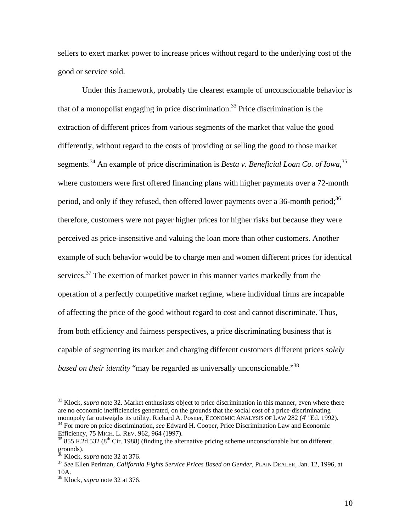sellers to exert market power to increase prices without regard to the underlying cost of the good or service sold.

 Under this framework, probably the clearest example of unconscionable behavior is that of a monopolist engaging in price discrimination.<sup>33</sup> Price discrimination is the extraction of different prices from various segments of the market that value the good differently, without regard to the costs of providing or selling the good to those market segments.<sup>34</sup> An example of price discrimination is *Besta v. Beneficial Loan Co. of Iowa*,<sup>35</sup> where customers were first offered financing plans with higher payments over a 72-month period, and only if they refused, then offered lower payments over a 36-month period;<sup>36</sup> therefore, customers were not payer higher prices for higher risks but because they were perceived as price-insensitive and valuing the loan more than other customers. Another example of such behavior would be to charge men and women different prices for identical services.<sup>37</sup> The exertion of market power in this manner varies markedly from the operation of a perfectly competitive market regime, where individual firms are incapable of affecting the price of the good without regard to cost and cannot discriminate. Thus, from both efficiency and fairness perspectives, a price discriminating business that is capable of segmenting its market and charging different customers different prices *solely based on their identity* "may be regarded as universally unconscionable."<sup>38</sup>

<sup>&</sup>lt;sup>33</sup> Klock, *supra* note 32. Market enthusiasts object to price discrimination in this manner, even where there are no economic inefficiencies generated, on the grounds that the social cost of a price-discriminating monopoly far outweighs its utility. Richard A. Posner, ECONOMIC ANALYSIS OF LAW 282 (4<sup>th</sup> Ed. 1992).<br><sup>34</sup> For more on price discrimination, *see* Edward H. Cooper, Price Discrimination Law and Economic<br>Efficiency, 75 MICH

<sup>&</sup>lt;sup>35</sup> 855 F.2d 532 (8<sup>th</sup> Cir. 1988) (finding the alternative pricing scheme unconscionable but on different grounds).<br><sup>36</sup> Klock, *supra* note 32 at 376.

<sup>&</sup>lt;sup>37</sup> See Ellen Perlman, *California Fights Service Prices Based on Gender*, PLAIN DEALER, Jan. 12, 1996, at 10A.

<sup>38</sup> Klock, *supra* note 32 at 376.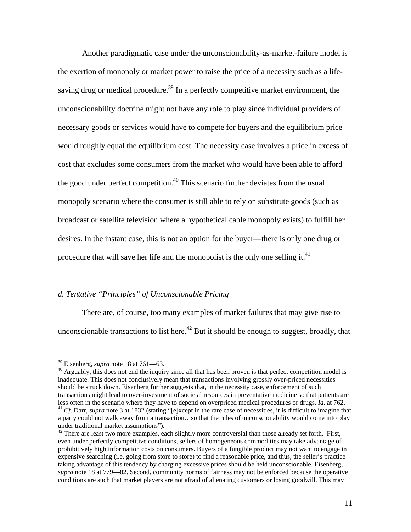Another paradigmatic case under the unconscionability-as-market-failure model is the exertion of monopoly or market power to raise the price of a necessity such as a lifesaving drug or medical procedure.<sup>39</sup> In a perfectly competitive market environment, the unconscionability doctrine might not have any role to play since individual providers of necessary goods or services would have to compete for buyers and the equilibrium price would roughly equal the equilibrium cost. The necessity case involves a price in excess of cost that excludes some consumers from the market who would have been able to afford the good under perfect competition.<sup>40</sup> This scenario further deviates from the usual monopoly scenario where the consumer is still able to rely on substitute goods (such as broadcast or satellite television where a hypothetical cable monopoly exists) to fulfill her desires. In the instant case, this is not an option for the buyer—there is only one drug or procedure that will save her life and the monopolist is the only one selling it.<sup>41</sup>

### *d. Tentative "Principles" of Unconscionable Pricing*

 There are, of course, too many examples of market failures that may give rise to unconscionable transactions to list here.<sup>42</sup> But it should be enough to suggest, broadly, that

 $\overline{a}$ 

<sup>39</sup> Eisenberg, *supra* note 18 at 761—63.<br><sup>40</sup> Arguably, this does not end the inquiry since all that has been proven is that perfect competition model is inadequate. This does not conclusively mean that transactions involving grossly over-priced necessities should be struck down. Eisenberg further suggests that, in the necessity case, enforcement of such transactions might lead to over-investment of societal resources in preventative medicine so that patients are less often in the scenario where they have to depend on overpriced medical procedures or drugs. *Id.* at 762.<br><sup>41</sup> *Cf.* Darr, *supra* note 3 at 1832 (stating "[e]xcept in the rare case of necessities, it is difficult to

a party could not walk away from a transaction…so that the rules of unconscionability would come into play under traditional market assumptions").

 $42$  There are least two more examples, each slightly more controversial than those already set forth. First, even under perfectly competitive conditions, sellers of homogeneous commodities may take advantage of prohibitively high information costs on consumers. Buyers of a fungible product may not want to engage in expensive searching (i.e. going from store to store) to find a reasonable price, and thus, the seller's practice taking advantage of this tendency by charging excessive prices should be held unconscionable. Eisenberg, *supra* note 18 at 779—82. Second, community norms of fairness may not be enforced because the operative conditions are such that market players are not afraid of alienating customers or losing goodwill. This may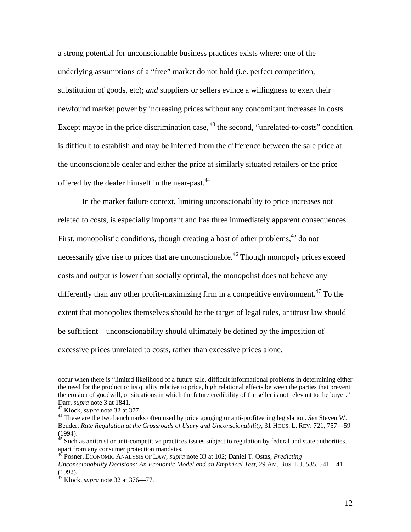a strong potential for unconscionable business practices exists where: one of the underlying assumptions of a "free" market do not hold (i.e. perfect competition, substitution of goods, etc); *and* suppliers or sellers evince a willingness to exert their newfound market power by increasing prices without any concomitant increases in costs. Except maybe in the price discrimination case, <sup>43</sup> the second, "unrelated-to-costs" condition is difficult to establish and may be inferred from the difference between the sale price at the unconscionable dealer and either the price at similarly situated retailers or the price offered by the dealer himself in the near-past.<sup>44</sup>

In the market failure context, limiting unconscionability to price increases not related to costs, is especially important and has three immediately apparent consequences. First, monopolistic conditions, though creating a host of other problems,  $45$  do not necessarily give rise to prices that are unconscionable.<sup>46</sup> Though monopoly prices exceed costs and output is lower than socially optimal, the monopolist does not behave any differently than any other profit-maximizing firm in a competitive environment.<sup>47</sup> To the extent that monopolies themselves should be the target of legal rules, antitrust law should be sufficient—unconscionability should ultimately be defined by the imposition of excessive prices unrelated to costs, rather than excessive prices alone.

occur when there is "limited likelihood of a future sale, difficult informational problems in determining either the need for the product or its quality relative to price, high relational effects between the parties that prevent the erosion of goodwill, or situations in which the future credibility of the seller is not relevant to the buyer."

Darr, *supra* note 3 at 1841.<br><sup>43</sup> Klock, *supra* note 32 at 377.<br><sup>44</sup> These are the two benchmarks often used by price gouging or anti-profiteering legislation. *See* Steven W. Bender, *Rate Regulation at the Crossroads of Usury and Unconscionability*, 31 HOUS. L. REV. 721, 757—59 (1994).

 $45$  Such as antitrust or anti-competitive practices issues subject to regulation by federal and state authorities, apart from any consumer protection mandates.

<sup>46</sup> Posner, ECONOMIC ANALYSIS OF LAW, *supra* note 33 at 102; Daniel T. Ostas, *Predicting Unconscionability Decisions: An Economic Model and an Empirical Test*, 29 AM. BUS. L.J. 535, 541—41 (1992).

<sup>47</sup> Klock, *supra* note 32 at 376—77.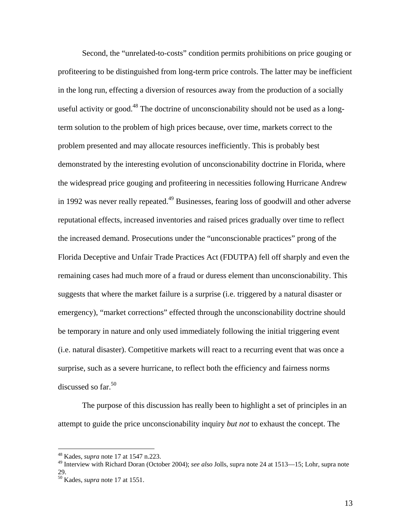Second, the "unrelated-to-costs" condition permits prohibitions on price gouging or profiteering to be distinguished from long-term price controls. The latter may be inefficient in the long run, effecting a diversion of resources away from the production of a socially useful activity or good.<sup>48</sup> The doctrine of unconscionability should not be used as a longterm solution to the problem of high prices because, over time, markets correct to the problem presented and may allocate resources inefficiently. This is probably best demonstrated by the interesting evolution of unconscionability doctrine in Florida, where the widespread price gouging and profiteering in necessities following Hurricane Andrew in 1992 was never really repeated.<sup>49</sup> Businesses, fearing loss of goodwill and other adverse reputational effects, increased inventories and raised prices gradually over time to reflect the increased demand. Prosecutions under the "unconscionable practices" prong of the Florida Deceptive and Unfair Trade Practices Act (FDUTPA) fell off sharply and even the remaining cases had much more of a fraud or duress element than unconscionability. This suggests that where the market failure is a surprise (i.e. triggered by a natural disaster or emergency), "market corrections" effected through the unconscionability doctrine should be temporary in nature and only used immediately following the initial triggering event (i.e. natural disaster). Competitive markets will react to a recurring event that was once a surprise, such as a severe hurricane, to reflect both the efficiency and fairness norms discussed so far. $50$ 

The purpose of this discussion has really been to highlight a set of principles in an attempt to guide the price unconscionability inquiry *but not* to exhaust the concept. The

 $\overline{a}$ 

13

<sup>48</sup> Kades, *supra* note 17 at 1547 n.223.

<sup>49</sup> Interview with Richard Doran (October 2004); *see also* Jolls, sup*r*a note 24 at 1513—15; Lohr, s*u*pra note 29.

<sup>50</sup> Kades, *supra* note 17 at 1551.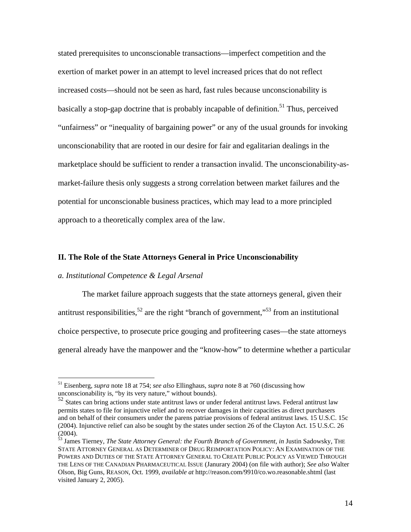stated prerequisites to unconscionable transactions—imperfect competition and the exertion of market power in an attempt to level increased prices that do not reflect increased costs—should not be seen as hard, fast rules because unconscionability is basically a stop-gap doctrine that is probably incapable of definition.<sup>51</sup> Thus, perceived "unfairness" or "inequality of bargaining power" or any of the usual grounds for invoking unconscionability that are rooted in our desire for fair and egalitarian dealings in the marketplace should be sufficient to render a transaction invalid. The unconscionability-asmarket-failure thesis only suggests a strong correlation between market failures and the potential for unconscionable business practices, which may lead to a more principled approach to a theoretically complex area of the law.

#### **II. The Role of the State Attorneys General in Price Unconscionability**

#### *a. Institutional Competence & Legal Arsenal*

 $\overline{a}$ 

 The market failure approach suggests that the state attorneys general, given their antitrust responsibilities,<sup>52</sup> are the right "branch of government,"<sup>53</sup> from an institutional choice perspective, to prosecute price gouging and profiteering cases—the state attorneys general already have the manpower and the "know-how" to determine whether a particular

<sup>51</sup> Eisenberg, *supra* note 18 at 754; *see also* Ellinghaus, *supra* note 8 at 760 (discussing how unconscionability is, "by its very nature," without bounds).

<sup>52&</sup>lt;br>52 States can bring actions under state antitrust laws or under federal antitrust laws. Federal antitrust law permits states to file for injunctive relief and to recover damages in their capacities as direct purchasers and on behalf of their consumers under the parens patriae provisions of federal antitrust laws. 15 U.S.C. 15c (2004). Injunctive relief can also be sought by the states under section 26 of the Clayton Act. 15 U.S.C. 26 (2004).

<sup>53</sup> James Tierney, *The State Attorney General: the Fourth Branch of Government*, *in* Justin Sadowsky, THE STATE ATTORNEY GENERAL AS DETERMINER OF DRUG REIMPORTATION POLICY: AN EXAMINATION OF THE POWERS AND DUTIES OF THE STATE ATTORNEY GENERAL TO CREATE PUBLIC POLICY AS VIEWED THROUGH THE LENS OF THE CANADIAN PHARMACEUTICAL ISSUE (Janurary 2004) (on file with author); *See also* Walter Olson, Big Guns, REASON, Oct. 1999, *available at* http://reason.com/9910/co.wo.reasonable.shtml (last visited January 2, 2005).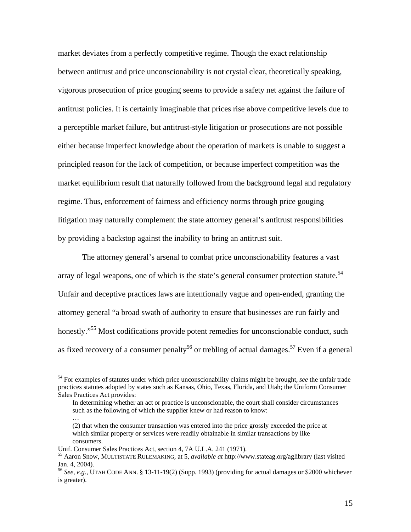market deviates from a perfectly competitive regime. Though the exact relationship between antitrust and price unconscionability is not crystal clear, theoretically speaking, vigorous prosecution of price gouging seems to provide a safety net against the failure of antitrust policies. It is certainly imaginable that prices rise above competitive levels due to a perceptible market failure, but antitrust-style litigation or prosecutions are not possible either because imperfect knowledge about the operation of markets is unable to suggest a principled reason for the lack of competition, or because imperfect competition was the market equilibrium result that naturally followed from the background legal and regulatory regime. Thus, enforcement of fairness and efficiency norms through price gouging litigation may naturally complement the state attorney general's antitrust responsibilities by providing a backstop against the inability to bring an antitrust suit.

The attorney general's arsenal to combat price unconscionability features a vast array of legal weapons, one of which is the state's general consumer protection statute.<sup>54</sup> Unfair and deceptive practices laws are intentionally vague and open-ended, granting the attorney general "a broad swath of authority to ensure that businesses are run fairly and honestly."<sup>55</sup> Most codifications provide potent remedies for unconscionable conduct, such as fixed recovery of a consumer penalty<sup>56</sup> or trebling of actual damages.<sup>57</sup> Even if a general

 $\overline{a}$ 

…

<sup>54</sup> For examples of statutes under which price unconscionability claims might be brought, *see* the unfair trade practices statutes adopted by states such as Kansas, Ohio, Texas, Florida, and Utah; the Uniform Consumer Sales Practices Act provides:

In determining whether an act or practice is unconscionable, the court shall consider circumstances such as the following of which the supplier knew or had reason to know:

<sup>(2)</sup> that when the consumer transaction was entered into the price grossly exceeded the price at which similar property or services were readily obtainable in similar transactions by like consumers.

Unif. Consumer Sales Practices Act, section 4, 7A U.L.A. 241 (1971).

<sup>55</sup> Aaron Snow, MULTISTATE RULEMAKING, at 5, *available at* http://www.stateag.org/aglibrary (last visited Jan. 4, 2004).

<sup>56</sup> *See, e.g.,* UTAH CODE ANN. § 13-11-19(2) (Supp. 1993) (providing for actual damages or \$2000 whichever is greater).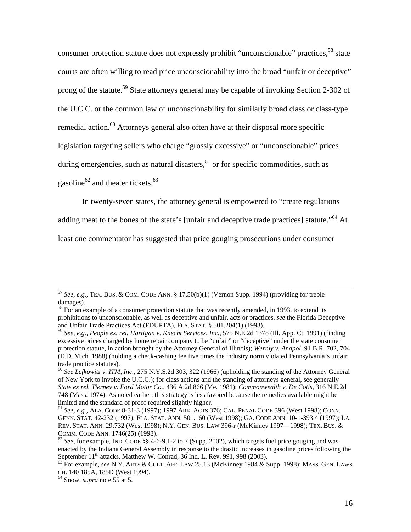consumer protection statute does not expressly prohibit "unconscionable" practices,<sup>58</sup> state courts are often willing to read price unconscionability into the broad "unfair or deceptive" prong of the statute.59 State attorneys general may be capable of invoking Section 2-302 of the U.C.C. or the common law of unconscionability for similarly broad class or class-type remedial action.<sup>60</sup> Attorneys general also often have at their disposal more specific legislation targeting sellers who charge "grossly excessive" or "unconscionable" prices during emergencies, such as natural disasters,<sup>61</sup> or for specific commodities, such as gasoline $^{62}$  and theater tickets. $^{63}$ 

In twenty-seven states, the attorney general is empowered to "create regulations

adding meat to the bones of the state's [unfair and deceptive trade practices] statute."<sup>64</sup> At

least one commentator has suggested that price gouging prosecutions under consumer

 <sup>57</sup> *See, e.g.,* TEX. BUS. & COM. CODE ANN. § 17.50(b)(1) (Vernon Supp. 1994) (providing for treble damages).

<sup>&</sup>lt;sup>58</sup> For an example of a consumer protection statute that was recently amended, in 1993, to extend its prohibitions to unconscionable, as well as deceptive and unfair, acts or practices, *see* the Florida Deceptive and Unfair Trade Practices Act (FDUPTA), FLA. STAT. § 501.204(1) (1993).

<sup>59</sup> *See, e.g., People ex. rel. Hartigan v. Knecht Services, Inc*., 575 N.E.2d 1378 (Ill. App. Ct. 1991) (finding excessive prices charged by home repair company to be "unfair" or "deceptive" under the state consumer protection statute, in action brought by the Attorney General of Illinois); *Wernly v. Anapol*, 91 B.R. 702, 704 (E.D. Mich. 1988) (holding a check-cashing fee five times the industry norm violated Pennsylvania's unfair trade practice statutes).

<sup>60</sup> *See Lefkowitz v. ITM, Inc.*, 275 N.Y.S.2d 303, 322 (1966) (upholding the standing of the Attorney General of New York to invoke the U.C.C.); for class actions and the standing of attorneys general, see generally *State ex rel. Tierney v. Ford Motor Co.*, 436 A.2d 866 (Me. 1981); *Commonwealth v. De Cotis*, 316 N.E.2d 748 (Mass. 1974). As noted earlier, this strategy is less favored because the remedies available might be limited and the standard of proof required slightly higher.

<sup>61</sup> *See, e.g.,* ALA. CODE 8-31-3 (1997); 1997 ARK. ACTS 376; CAL. PENAL CODE 396 (West 1998); CONN. GENN. STAT. 42-232 (1997); FLA. STAT. ANN. 501.160 (West 1998); GA. CODE ANN. 10-1-393.4 (1997); LA. REV. STAT. ANN. 29:732 (West 1998); N.Y. GEN. BUS. LAW 396-r (McKinney 1997—1998); TEX. BUS. & COMM. CODE ANN. 1746(25) (1998).

<sup>&</sup>lt;sup>62</sup> See, for example, IND. CODE §§ 4-6-9.1-2 to 7 (Supp. 2002), which targets fuel price gouging and was enacted by the Indiana General Assembly in response to the drastic increases in gasoline prices following the September 11<sup>th</sup> attacks. Matthew W. Conrad, 36 Ind. L. Rev. 991, 998 (2003).

<sup>&</sup>lt;sup>63</sup> For example, *see* N.Y. ARTS & CULT. AFF. LAW 25.13 (McKinney 1984 & Supp. 1998); MASS. GEN. LAWS CH. 140 185A, 185D (West 1994). 64 Snow, *supra* note 55 at 5.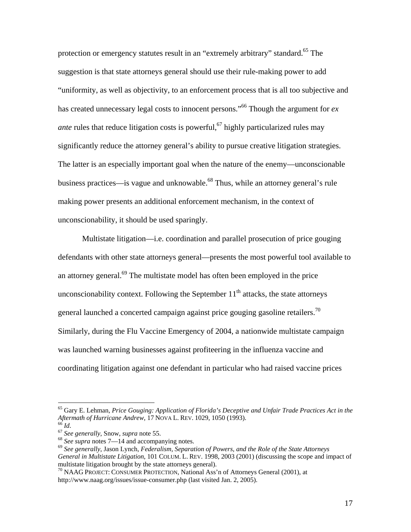protection or emergency statutes result in an "extremely arbitrary" standard.<sup>65</sup> The suggestion is that state attorneys general should use their rule-making power to add "uniformity, as well as objectivity, to an enforcement process that is all too subjective and has created unnecessary legal costs to innocent persons."66 Though the argument for *ex ante* rules that reduce litigation costs is powerful,  $\frac{67}{7}$  highly particularized rules may significantly reduce the attorney general's ability to pursue creative litigation strategies. The latter is an especially important goal when the nature of the enemy—unconscionable business practices—is vague and unknowable.68 Thus, while an attorney general's rule making power presents an additional enforcement mechanism, in the context of unconscionability, it should be used sparingly.

Multistate litigation—i.e. coordination and parallel prosecution of price gouging defendants with other state attorneys general—presents the most powerful tool available to an attorney general.<sup>69</sup> The multistate model has often been employed in the price unconscionability context. Following the September  $11<sup>th</sup>$  attacks, the state attorneys general launched a concerted campaign against price gouging gasoline retailers.<sup>70</sup> Similarly, during the Flu Vaccine Emergency of 2004, a nationwide multistate campaign was launched warning businesses against profiteering in the influenza vaccine and coordinating litigation against one defendant in particular who had raised vaccine prices

<sup>&</sup>lt;sup>65</sup> Gary E. Lehman, *Price Gouging: Application of Florida's Deceptive and Unfair Trade Practices Act in the Aftermath of Hurricane Andrew, 17 NOVA L. REV. 1029, 1050 (1993).* 

<sup>&</sup>lt;sup>66</sup> Id.<br><sup>67</sup> See generally, Snow, supra note 55.<br><sup>68</sup> See supra notes 7—14 and accompanying notes.<br><sup>69</sup> See generally, Jason Lynch, Federalism, Separation of Powers, and the Role of the State Attorneys *General in Multistate Litigation*, 101 COLUM. L. REV. 1998, 2003 (2001) (discussing the scope and impact of multistate litigation brought by the state attorneys general).

<sup>70</sup> NAAG PROJECT: CONSUMER PROTECTION, National Ass'n of Attorneys General (2001), at http://www.naag.org/issues/issue-consumer.php (last visited Jan. 2, 2005).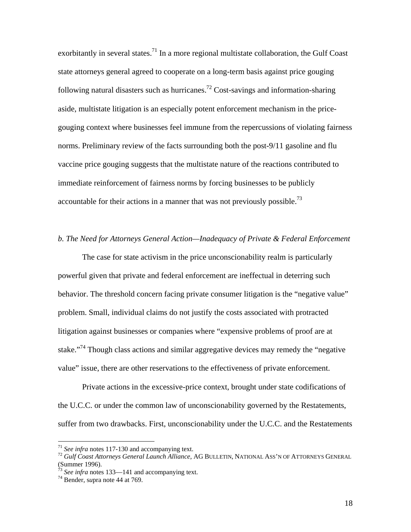exorbitantly in several states.<sup>71</sup> In a more regional multistate collaboration, the Gulf Coast state attorneys general agreed to cooperate on a long-term basis against price gouging following natural disasters such as hurricanes.<sup>72</sup> Cost-savings and information-sharing aside, multistate litigation is an especially potent enforcement mechanism in the pricegouging context where businesses feel immune from the repercussions of violating fairness norms. Preliminary review of the facts surrounding both the post-9/11 gasoline and flu vaccine price gouging suggests that the multistate nature of the reactions contributed to immediate reinforcement of fairness norms by forcing businesses to be publicly accountable for their actions in a manner that was not previously possible.<sup>73</sup>

#### *b. The Need for Attorneys General Action—Inadequacy of Private & Federal Enforcement*

The case for state activism in the price unconscionability realm is particularly powerful given that private and federal enforcement are ineffectual in deterring such behavior. The threshold concern facing private consumer litigation is the "negative value" problem. Small, individual claims do not justify the costs associated with protracted litigation against businesses or companies where "expensive problems of proof are at stake."<sup>74</sup> Though class actions and similar aggregative devices may remedy the "negative" value" issue, there are other reservations to the effectiveness of private enforcement.

Private actions in the excessive-price context, brought under state codifications of the U.C.C. or under the common law of unconscionability governed by the Restatements, suffer from two drawbacks. First, unconscionability under the U.C.C. and the Restatements

<sup>&</sup>lt;sup>71</sup> *See infra* notes 117-130 and accompanying text.<br><sup>72</sup> *Gulf Coast Attorneys General Launch Alliance*, AG BULLETIN, NATIONAL ASS'N OF ATTORNEYS GENERAL (Summer 1996).

<sup>73</sup> *See infra* notes 133—141 and accompanying text. 74 Bender, s*u*pra note 44 at 769.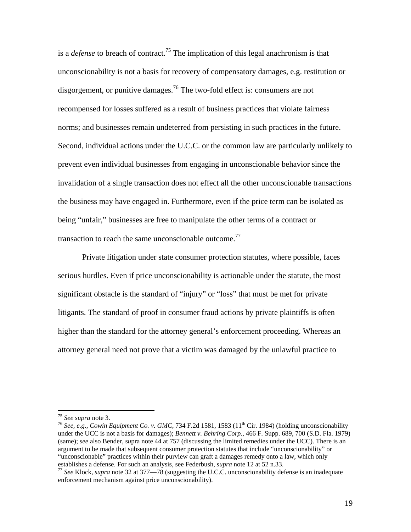is a *defense* to breach of contract.<sup>75</sup> The implication of this legal anachronism is that unconscionability is not a basis for recovery of compensatory damages, e.g. restitution or disgorgement, or punitive damages.<sup>76</sup> The two-fold effect is: consumers are not recompensed for losses suffered as a result of business practices that violate fairness norms; and businesses remain undeterred from persisting in such practices in the future. Second, individual actions under the U.C.C. or the common law are particularly unlikely to prevent even individual businesses from engaging in unconscionable behavior since the invalidation of a single transaction does not effect all the other unconscionable transactions the business may have engaged in. Furthermore, even if the price term can be isolated as being "unfair," businesses are free to manipulate the other terms of a contract or transaction to reach the same unconscionable outcome.<sup>77</sup>

Private litigation under state consumer protection statutes, where possible, faces serious hurdles. Even if price unconscionability is actionable under the statute, the most significant obstacle is the standard of "injury" or "loss" that must be met for private litigants. The standard of proof in consumer fraud actions by private plaintiffs is often higher than the standard for the attorney general's enforcement proceeding. Whereas an attorney general need not prove that a victim was damaged by the unlawful practice to

<sup>75</sup> *See supra* note 3. 76 *See, e.g*., *Cowin Equipment Co. v. GMC*, 734 F.2d 1581, 1583 (11th Cir. 1984) (holding unconscionability under the UCC is not a basis for damages); *Bennett v. Behring Corp.*, 466 F. Supp. 689, 700 (S.D. Fla. 1979) (same); *see* also Bender, s*u*pra note 44 at 757 (discussing the limited remedies under the UCC). There is an argument to be made that subsequent consumer protection statutes that include "unconscionability" or "unconscionable" practices within their purview can graft a damages remedy onto a law, which only establishes a defense. For such an analysis, see Federbush, *supra* note 12 at 52 n.33.

<sup>&</sup>lt;sup>77</sup> See Klock, *supra* note 32 at 377—78 (suggesting the U.C.C. unconscionability defense is an inadequate enforcement mechanism against price unconscionability).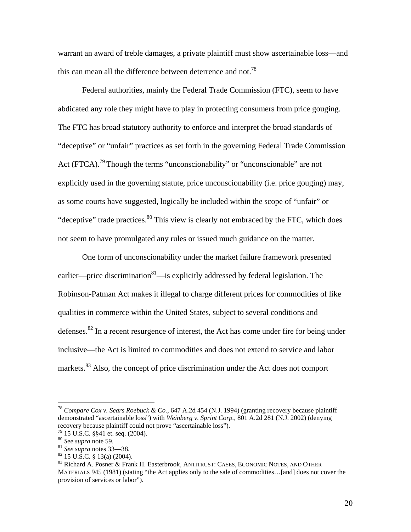warrant an award of treble damages, a private plaintiff must show ascertainable loss—and this can mean all the difference between deterrence and not.<sup>78</sup>

Federal authorities, mainly the Federal Trade Commission (FTC), seem to have abdicated any role they might have to play in protecting consumers from price gouging. The FTC has broad statutory authority to enforce and interpret the broad standards of "deceptive" or "unfair" practices as set forth in the governing Federal Trade Commission Act (FTCA).<sup>79</sup> Though the terms "unconscionability" or "unconscionable" are not explicitly used in the governing statute, price unconscionability (i.e. price gouging) may, as some courts have suggested, logically be included within the scope of "unfair" or "deceptive" trade practices.<sup>80</sup> This view is clearly not embraced by the FTC, which does not seem to have promulgated any rules or issued much guidance on the matter.

One form of unconscionability under the market failure framework presented earlier—price discrimination $81$ —is explicitly addressed by federal legislation. The Robinson-Patman Act makes it illegal to charge different prices for commodities of like qualities in commerce within the United States, subject to several conditions and defenses.82 In a recent resurgence of interest, the Act has come under fire for being under inclusive—the Act is limited to commodities and does not extend to service and labor markets.<sup>83</sup> Also, the concept of price discrimination under the Act does not comport

<sup>78</sup> *Compare Cox v. Sears Roebuck & Co.*, 647 A.2d 454 (N.J. 1994) (granting recovery because plaintiff demonstrated "ascertainable loss") with *Weinberg v. Sprint Corp.*, 801 A.2d 281 (N.J. 2002) (denying recovery because plaintiff could not prove "ascertainable loss").<br><sup>79</sup> 15 U.S.C. §§41 et. seq. (2004).<br><sup>80</sup> See *supra* note 59.

<sup>&</sup>lt;sup>81</sup> *See supra* notes 33—38.<br><sup>82</sup> 15 U.S.C. § 13(a) (2004).

<sup>83</sup> Richard A. Posner & Frank H. Easterbrook, ANTITRUST: CASES, ECONOMIC NOTES, AND OTHER MATERIALS 945 (1981) (stating "the Act applies only to the sale of commodities…[and] does not cover the provision of services or labor").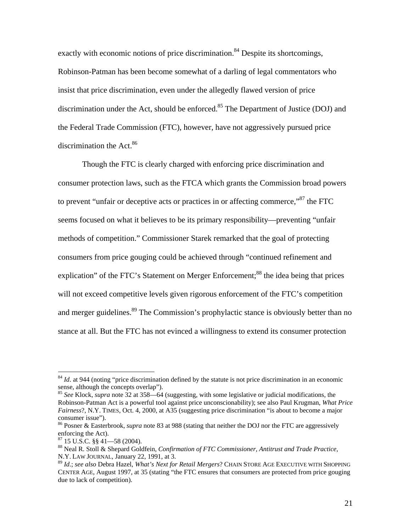exactly with economic notions of price discrimination.<sup>84</sup> Despite its shortcomings, Robinson-Patman has been become somewhat of a darling of legal commentators who insist that price discrimination, even under the allegedly flawed version of price discrimination under the Act, should be enforced.<sup>85</sup> The Department of Justice (DOJ) and the Federal Trade Commission (FTC), however, have not aggressively pursued price discrimination the Act.<sup>86</sup>

 Though the FTC is clearly charged with enforcing price discrimination and consumer protection laws, such as the FTCA which grants the Commission broad powers to prevent "unfair or deceptive acts or practices in or affecting commerce,"87 the FTC seems focused on what it believes to be its primary responsibility—preventing "unfair methods of competition." Commissioner Starek remarked that the goal of protecting consumers from price gouging could be achieved through "continued refinement and explication" of the FTC's Statement on Merger Enforcement;<sup>88</sup> the idea being that prices will not exceed competitive levels given rigorous enforcement of the FTC's competition and merger guidelines.<sup>89</sup> The Commission's prophylactic stance is obviously better than no stance at all. But the FTC has not evinced a willingness to extend its consumer protection

<sup>&</sup>lt;sup>84</sup> *Id.* at 944 (noting "price discrimination defined by the statute is not price discrimination in an economic sense, although the concepts overlap").

<sup>85</sup> *See* Klock, *supra* note 32 at 358—64 (suggesting, with some legislative or judicial modifications, the Robinson-Patman Act is a powerful tool against price unconscionability); see also Paul Krugman, *What Price Fairness*?, N.Y. TIMES, Oct. 4, 2000, at A35 (suggesting price discrimination "is about to become a major consumer issue").

<sup>86</sup> Posner & Easterbrook, *supra* note 83 at 988 (stating that neither the DOJ nor the FTC are aggressively enforcing the Act).

 $87$  15 U.S.C. §§ 41—58 (2004).

<sup>88</sup> Neal R. Stoll & Shepard Goldfein, *Confirmation of FTC Commissioner, Antitrust and Trade Practice*, N.Y. LAW JOURNAL, January 22, 1991, at 3.

<sup>89</sup> *Id*.; *see also* Debra Hazel, *What's Next for Retail Mergers*? CHAIN STORE AGE EXECUTIVE WITH SHOPPING CENTER AGE, August 1997, at 35 (stating "the FTC ensures that consumers are protected from price gouging due to lack of competition).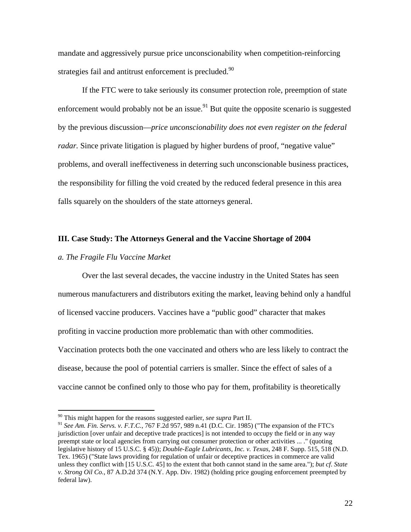mandate and aggressively pursue price unconscionability when competition-reinforcing strategies fail and antitrust enforcement is precluded.<sup>90</sup>

 If the FTC were to take seriously its consumer protection role, preemption of state enforcement would probably not be an issue.<sup>91</sup> But quite the opposite scenario is suggested by the previous discussion—*price unconscionability does not even register on the federal radar*. Since private litigation is plagued by higher burdens of proof, "negative value" problems, and overall ineffectiveness in deterring such unconscionable business practices, the responsibility for filling the void created by the reduced federal presence in this area falls squarely on the shoulders of the state attorneys general.

#### **III. Case Study: The Attorneys General and the Vaccine Shortage of 2004**

#### *a. The Fragile Flu Vaccine Market*

 $\overline{a}$ 

 Over the last several decades, the vaccine industry in the United States has seen numerous manufacturers and distributors exiting the market, leaving behind only a handful of licensed vaccine producers. Vaccines have a "public good" character that makes profiting in vaccine production more problematic than with other commodities. Vaccination protects both the one vaccinated and others who are less likely to contract the disease, because the pool of potential carriers is smaller. Since the effect of sales of a vaccine cannot be confined only to those who pay for them, profitability is theoretically

<sup>90</sup> This might happen for the reasons suggested earlier, *see supra* Part II.

<sup>91</sup> *See Am. Fin. Servs. v. F.T.C.*, 767 F.2d 957, 989 n.41 (D.C. Cir. 1985) ("The expansion of the FTC's jurisdiction [over unfair and deceptive trade practices] is not intended to occupy the field or in any way preempt state or local agencies from carrying out consumer protection or other activities ... ." (quoting legislative history of 15 U.S.C. § 45)); *Double-Eagle Lubricants, Inc. v. Texas*, 248 F. Supp. 515, 518 (N.D. Tex. 1965) ("State laws providing for regulation of unfair or deceptive practices in commerce are valid unless they conflict with [15 U.S.C. 45] to the extent that both cannot stand in the same area."); *but cf*. *State v. Strong Oil Co.*, 87 A.D.2d 374 (N.Y. App. Div. 1982) (holding price gouging enforcement preempted by federal law).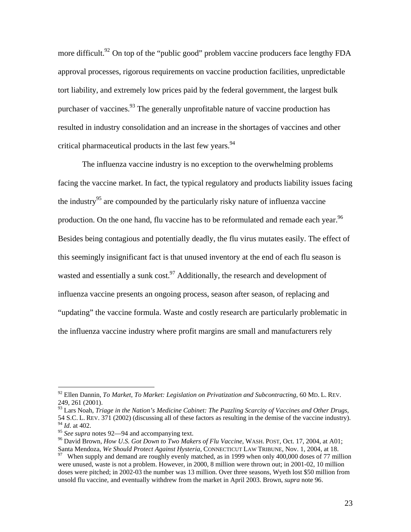more difficult.<sup>92</sup> On top of the "public good" problem vaccine producers face lengthy FDA approval processes, rigorous requirements on vaccine production facilities, unpredictable tort liability, and extremely low prices paid by the federal government, the largest bulk purchaser of vaccines.<sup>93</sup> The generally unprofitable nature of vaccine production has resulted in industry consolidation and an increase in the shortages of vaccines and other critical pharmaceutical products in the last few years.<sup>94</sup>

 The influenza vaccine industry is no exception to the overwhelming problems facing the vaccine market. In fact, the typical regulatory and products liability issues facing the industry<sup>95</sup> are compounded by the particularly risky nature of influenza vaccine production. On the one hand, flu vaccine has to be reformulated and remade each year.<sup>96</sup> Besides being contagious and potentially deadly, the flu virus mutates easily. The effect of this seemingly insignificant fact is that unused inventory at the end of each flu season is wasted and essentially a sunk cost.<sup>97</sup> Additionally, the research and development of influenza vaccine presents an ongoing process, season after season, of replacing and "updating" the vaccine formula. Waste and costly research are particularly problematic in the influenza vaccine industry where profit margins are small and manufacturers rely

<sup>92</sup> Ellen Dannin*, To Market, To Market: Legislation on Privatization and Subcontracting*, 60 MD. L. REV. 249, 261 (2001).

<sup>&</sup>lt;sup>93</sup> Lars Noah, *Triage in the Nation's Medicine Cabinet: The Puzzling Scarcity of Vaccines and Other Drugs*, 54 S.C. L. REV. 371 (2002) (discussing all of these factors as resulting in the demise of the vaccine industry).  $^{94}$  *Id.* at 402.<br><sup>95</sup> *See supra* notes 92—94 and accompanying text.

<sup>&</sup>lt;sup>96</sup> David Brown, *How U.S. Got Down to Two Makers of Flu Vaccine*, WASH. POST, Oct. 17, 2004, at A01; Santa Mendoza, *We Should Protect Against Hysteria*, CONNECTICUT LAW TRIBUNE, Nov. 1, 2004, at 18. <sup>97</sup> When supply and demand are roughly evenly matched, as in 1999 when only 400,000 doses of 77 million

were unused, waste is not a problem. However, in 2000, 8 million were thrown out; in 2001-02, 10 million doses were pitched; in 2002-03 the number was 13 million. Over three seasons, Wyeth lost \$50 million from unsold flu vaccine, and eventually withdrew from the market in April 2003. Brown, *supra* note 96.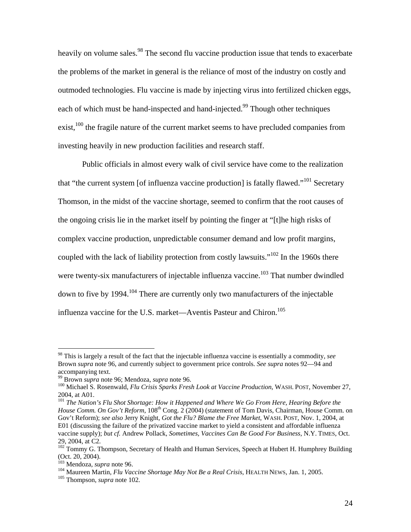heavily on volume sales.<sup>98</sup> The second flu vaccine production issue that tends to exacerbate the problems of the market in general is the reliance of most of the industry on costly and outmoded technologies. Flu vaccine is made by injecting virus into fertilized chicken eggs, each of which must be hand-inspected and hand-injected.<sup>99</sup> Though other techniques  $\text{exist.}^{100}$  the fragile nature of the current market seems to have precluded companies from investing heavily in new production facilities and research staff.

Public officials in almost every walk of civil service have come to the realization that "the current system [of influenza vaccine production] is fatally flawed."101 Secretary Thomson, in the midst of the vaccine shortage, seemed to confirm that the root causes of the ongoing crisis lie in the market itself by pointing the finger at "[t]he high risks of complex vaccine production, unpredictable consumer demand and low profit margins, coupled with the lack of liability protection from costly lawsuits."<sup>102</sup> In the 1960s there were twenty-six manufacturers of injectable influenza vaccine.<sup>103</sup> That number dwindled down to five by 1994.<sup>104</sup> There are currently only two manufacturers of the injectable influenza vaccine for the U.S. market—Aventis Pasteur and Chiron.<sup>105</sup>

<sup>98</sup> This is largely a result of the fact that the injectable influenza vaccine is essentially a commodity, *see* Brown *supra* note 96, and currently subject to government price controls. *See supra* notes 92—94 and accompanying text.

<sup>&</sup>lt;sup>99</sup> Brown *supra* note 96; Mendoza, *supra* note 96.<br><sup>100</sup> Michael S. Rosenwald, *Flu Crisis Sparks Fresh Look at Vaccine Production*, WASH. POST, November 27, 2004, at A01.

<sup>&</sup>lt;sup>101</sup> The Nation's Flu Shot Shortage: How it Happened and Where We Go From Here, Hearing Before the *House Comm. On Gov't Reform*, 108<sup>th</sup> Cong. 2 (2004) (statement of Tom Davis, Chairman, House Comm. on Gov't Reform); *see also* Jerry Knight*, Got the Flu? Blame the Free Market*, WASH. POST, Nov. 1, 2004, at E01 (discussing the failure of the privatized vaccine market to yield a consistent and affordable influenza vaccine supply); *but cf.* Andrew Pollack*, Sometimes, Vaccines Can Be Good For Business*, N.Y. TIMES, Oct. 29, 2004, at C2.

<sup>&</sup>lt;sup>102</sup> Tommy G. Thompson, Secretary of Health and Human Services, Speech at Hubert H. Humphrey Building (Oct. 20, 2004).<br><sup>103</sup> Mendoza, *supra* note 96.

<sup>&</sup>lt;sup>104</sup> Maureen Martin, *Flu Vaccine Shortage May Not Be a Real Crisis*, HEALTH NEWS, Jan. 1, 2005.<br><sup>105</sup> Thompson, *supra* note 102.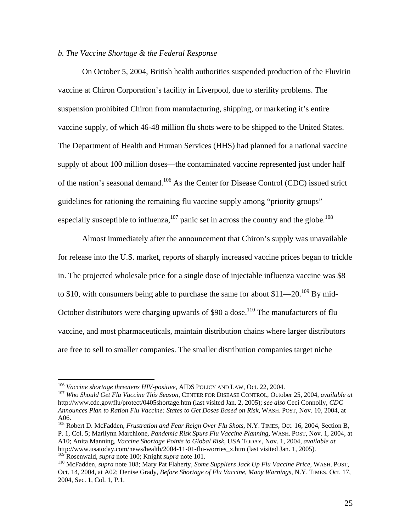## *b. The Vaccine Shortage & the Federal Response*

On October 5, 2004, British health authorities suspended production of the Fluvirin vaccine at Chiron Corporation's facility in Liverpool, due to sterility problems. The suspension prohibited Chiron from manufacturing, shipping, or marketing it's entire vaccine supply, of which 46-48 million flu shots were to be shipped to the United States. The Department of Health and Human Services (HHS) had planned for a national vaccine supply of about 100 million doses—the contaminated vaccine represented just under half of the nation's seasonal demand.106 As the Center for Disease Control (CDC) issued strict guidelines for rationing the remaining flu vaccine supply among "priority groups" especially susceptible to influenza, $107$  panic set in across the country and the globe.<sup>108</sup>

 Almost immediately after the announcement that Chiron's supply was unavailable for release into the U.S. market, reports of sharply increased vaccine prices began to trickle in. The projected wholesale price for a single dose of injectable influenza vaccine was \$8 to \$10, with consumers being able to purchase the same for about  $$11$ —20.<sup>109</sup> By mid-October distributors were charging upwards of  $$90$  a dose.<sup>110</sup> The manufacturers of flu vaccine, and most pharmaceuticals, maintain distribution chains where larger distributors are free to sell to smaller companies. The smaller distribution companies target niche

 $\overline{a}$ 

108 Robert D. McFadden*, Frustration and Fear Reign Over Flu Shots*, N.Y. TIMES, Oct. 16, 2004, Section B, P. 1, Col. 5; Marilynn Marchione, *Pandemic Risk Spurs Flu Vaccine Planning*, WASH. POST, Nov. 1, 2004, at A10; Anita Manning, *Vaccine Shortage Points to Global Risk*, USA TODAY, Nov. 1, 2004, *available at* http://www.usatoday.com/news/health/2004-11-01-flu-worries\_x.htm (last visited Jan. 1, 2005).<br><sup>109</sup> Rosenwald, *supra* note 100; Knight *supra* note 101.

<sup>106</sup> *Vaccine shortage threatens HIV-positive*, AIDS POLICY AND LAW, Oct. 22, 2004. 107 *Who Should Get Flu Vaccine This Season*, CENTER FOR DISEASE CONTROL, October 25, 2004, *available at* http://www.cdc.gov/flu/protect/0405shortage.htm (last visited Jan. 2, 2005); *see also* Ceci Connolly*, CDC Announces Plan to Ration Flu Vaccine: States to Get Doses Based on Risk*, WASH. POST, Nov. 10, 2004, at A06.

<sup>&</sup>lt;sup>110</sup> McFadden, *supra* note 108; Mary Pat Flaherty, *Some Suppliers Jack Up Flu Vaccine Price*, WASH. POST, Oct. 14, 2004, at A02; Denise Grady, *Before Shortage of Flu Vaccine*, *Many Warnings*, N.Y. TIMES, Oct. 17, 2004, Sec. 1, Col. 1, P.1.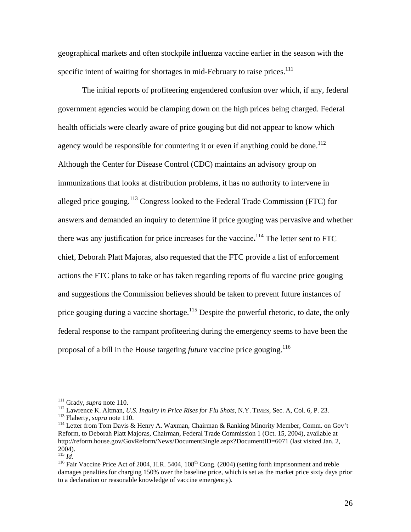geographical markets and often stockpile influenza vaccine earlier in the season with the specific intent of waiting for shortages in mid-February to raise prices.<sup>111</sup>

The initial reports of profiteering engendered confusion over which, if any, federal government agencies would be clamping down on the high prices being charged. Federal health officials were clearly aware of price gouging but did not appear to know which agency would be responsible for countering it or even if anything could be done.<sup>112</sup> Although the Center for Disease Control (CDC) maintains an advisory group on immunizations that looks at distribution problems, it has no authority to intervene in alleged price gouging.113 Congress looked to the Federal Trade Commission (FTC) for answers and demanded an inquiry to determine if price gouging was pervasive and whether there was any justification for price increases for the vaccine**.** <sup>114</sup> The letter sent to FTC chief, Deborah Platt Majoras, also requested that the FTC provide a list of enforcement actions the FTC plans to take or has taken regarding reports of flu vaccine price gouging and suggestions the Commission believes should be taken to prevent future instances of price gouging during a vaccine shortage.<sup>115</sup> Despite the powerful rhetoric, to date, the only federal response to the rampant profiteering during the emergency seems to have been the proposal of a bill in the House targeting *future* vaccine price gouging.116

 $111$  Grady, *supra* note 110.

<sup>&</sup>lt;sup>112</sup> Lawrence K. Altman, *U.S. Inquiry in Price Rises for Flu Shots*, N.Y. TIMES, Sec. A, Col. 6, P. 23.<br><sup>113</sup> Flaherty, *supra* note 110.<br><sup>114</sup> Letter from Tom Davis & Henry A. Waxman, Chairman & Ranking Minority Member

Reform, to Deborah Platt Majoras, Chairman, Federal Trade Commission 1 (Oct. 15, 2004), available at http://reform.house.gov/GovReform/News/DocumentSingle.aspx?DocumentID=6071 (last visited Jan. 2, 2004).<br> $\frac{115}{115}$  *Id.* 

<sup>&</sup>lt;sup>116</sup> Fair Vaccine Price Act of 2004, H.R. 5404, 108<sup>th</sup> Cong. (2004) (setting forth imprisonment and treble damages penalties for charging 150% over the baseline price, which is set as the market price sixty days prior to a declaration or reasonable knowledge of vaccine emergency).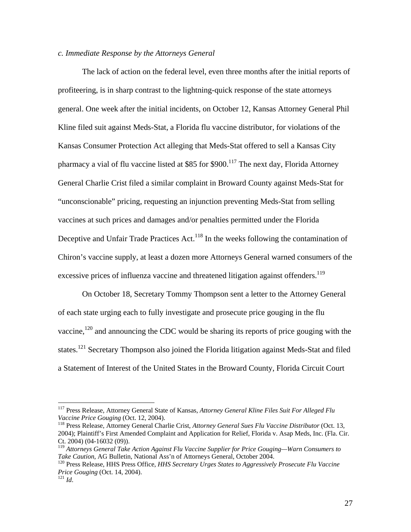# *c. Immediate Response by the Attorneys General*

 The lack of action on the federal level, even three months after the initial reports of profiteering, is in sharp contrast to the lightning-quick response of the state attorneys general. One week after the initial incidents, on October 12, Kansas Attorney General Phil Kline filed suit against Meds-Stat, a Florida flu vaccine distributor, for violations of the Kansas Consumer Protection Act alleging that Meds-Stat offered to sell a Kansas City pharmacy a vial of flu vaccine listed at \$85 for \$900.<sup>117</sup> The next day, Florida Attorney General Charlie Crist filed a similar complaint in Broward County against Meds-Stat for "unconscionable" pricing, requesting an injunction preventing Meds-Stat from selling vaccines at such prices and damages and/or penalties permitted under the Florida Deceptive and Unfair Trade Practices Act.<sup>118</sup> In the weeks following the contamination of Chiron's vaccine supply, at least a dozen more Attorneys General warned consumers of the excessive prices of influenza vaccine and threatened litigation against offenders.<sup>119</sup>

 On October 18, Secretary Tommy Thompson sent a letter to the Attorney General of each state urging each to fully investigate and prosecute price gouging in the flu vaccine, $120$  and announcing the CDC would be sharing its reports of price gouging with the states.<sup>121</sup> Secretary Thompson also joined the Florida litigation against Meds-Stat and filed a Statement of Interest of the United States in the Broward County, Florida Circuit Court

<sup>&</sup>lt;sup>117</sup> Press Release, Attorney General State of Kansas, Attorney General Kline Files Suit For Alleged Flu Vaccine Price Gouging (Oct. 12, 2004).

*Vaccine Price Gouging* (Oct. 12, 2004). 118 Press Release, Attorney General Charlie Crist*, Attorney General Sues Flu Vaccine Distributor* (Oct. 13, 2004); Plaintiff's First Amended Complaint and Application for Relief, Florida v. Asap Meds, Inc. (Fla. Cir. Ct. 2004) (04-16032 (09)).

<sup>&</sup>lt;sup>119</sup> Attorneys General Take Action Against Flu Vaccine Supplier for Price Gouging—Warn Consumers to Take Caution, AG Bulletin, National Ass'n of Attorneys General, October 2004.

<sup>&</sup>lt;sup>120</sup> Press Release, HHS Press Office, *HHS Secretary Urges States to Aggressively Prosecute Flu Vaccine Price Gouging* (Oct. 14, 2004).<br><sup>121</sup> *Id*.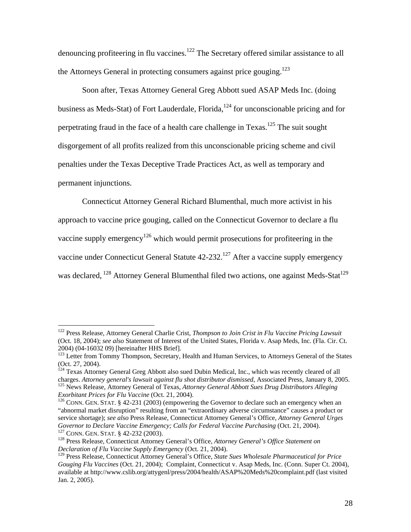denouncing profiteering in flu vaccines.<sup>122</sup> The Secretary offered similar assistance to all the Attorneys General in protecting consumers against price gouging.<sup>123</sup>

 Soon after, Texas Attorney General Greg Abbott sued ASAP Meds Inc. (doing business as Meds-Stat) of Fort Lauderdale, Florida, $124$  for unconscionable pricing and for perpetrating fraud in the face of a health care challenge in Texas.<sup>125</sup> The suit sought disgorgement of all profits realized from this unconscionable pricing scheme and civil penalties under the Texas Deceptive Trade Practices Act, as well as temporary and permanent injunctions.

Connecticut Attorney General Richard Blumenthal, much more activist in his

approach to vaccine price gouging, called on the Connecticut Governor to declare a flu

vaccine supply emergency<sup>126</sup> which would permit prosecutions for profiteering in the

vaccine under Connecticut General Statute 42-232.<sup>127</sup> After a vaccine supply emergency

was declared, <sup>128</sup> Attorney General Blumenthal filed two actions, one against Meds-Stat<sup>129</sup>

<sup>122</sup> Press Release, Attorney General Charlie Crist, *Thompson to Join Crist in Flu Vaccine Pricing Lawsuit*  (Oct. 18, 2004); *see also* Statement of Interest of the United States, Florida v. Asap Meds, Inc. (Fla. Cir. Ct. 2004) (04-16032 09) [hereinafter HHS Brief].

<sup>&</sup>lt;sup>123</sup> Letter from Tommy Thompson, Secretary, Health and Human Services, to Attorneys General of the States (Oct. 27, 2004).

<sup>&</sup>lt;sup>124</sup> Texas Attorney General Greg Abbott also sued Dubin Medical, Inc., which was recently cleared of all charges. Attorney general's lawsuit against flu shot distributor dismissed, Associated Press, January 8, 2005.<br><sup>125</sup> News Release, Attorney General of Texas, Attorney General Abbott Sues Drug Distributors Alleging<br>*Exorbit* 

<sup>&</sup>lt;sup>126</sup> CONN. GEN. STAT. § 42-231 (2003) (empowering the Governor to declare such an emergency when an "abnormal market disruption" resulting from an "extraordinary adverse circumstance" causes a product or service shortage); *see also* Press Release, Connecticut Attorney General's Office, *Attorney General Urges*  <sup>127</sup> CONN. GEN. STAT. § 42-232 (2003).<br><sup>128</sup> Press Release, Connecticut Attorney General's Office, *Attorney General's Office Statement on* 

*Declaration of Flu Vaccine Supply Emergency* (Oct. 21, 2004).

<sup>129</sup> Press Release, Connecticut Attorney General's Office, *State Sues Wholesale Pharmaceutical for Price Gouging Flu Vaccines* (Oct. 21, 2004); Complaint, Connecticut v. Asap Meds, Inc. (Conn. Super Ct. 2004), available at http://www.cslib.org/attygenl/press/2004/health/ASAP%20Meds%20complaint.pdf (last visited Jan. 2, 2005).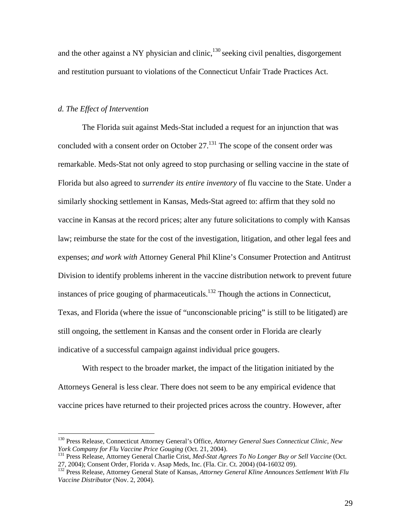and the other against a NY physician and clinic, $130$  seeking civil penalties, disgorgement and restitution pursuant to violations of the Connecticut Unfair Trade Practices Act.

# *d. The Effect of Intervention*

 $\overline{a}$ 

The Florida suit against Meds-Stat included a request for an injunction that was concluded with a consent order on October 27.<sup>131</sup> The scope of the consent order was remarkable. Meds-Stat not only agreed to stop purchasing or selling vaccine in the state of Florida but also agreed to *surrender its entire inventory* of flu vaccine to the State. Under a similarly shocking settlement in Kansas, Meds-Stat agreed to: affirm that they sold no vaccine in Kansas at the record prices; alter any future solicitations to comply with Kansas law; reimburse the state for the cost of the investigation, litigation, and other legal fees and expenses; *and work with* Attorney General Phil Kline's Consumer Protection and Antitrust Division to identify problems inherent in the vaccine distribution network to prevent future instances of price gouging of pharmaceuticals. $132$  Though the actions in Connecticut, Texas, and Florida (where the issue of "unconscionable pricing" is still to be litigated) are still ongoing, the settlement in Kansas and the consent order in Florida are clearly indicative of a successful campaign against individual price gougers.

With respect to the broader market, the impact of the litigation initiated by the Attorneys General is less clear. There does not seem to be any empirical evidence that vaccine prices have returned to their projected prices across the country. However, after

<sup>&</sup>lt;sup>130</sup> Press Release, Connecticut Attorney General's Office, *Attorney General Sues Connecticut Clinic*, *New York Company for Flu Vaccine Price Gouging* (Oct. 21, 2004).

<sup>&</sup>lt;sup>131</sup> Press Release, Attorney General Charlie Crist, *Med-Stat Agrees To No Longer Buy or Sell Vaccine* (Oct. 27, 2004); Consent Order, Florida v. Asap Meds, Inc. (Fla. Cir. Ct. 2004) (04-16032 09).

<sup>132</sup> Press Release, Attorney General State of Kansas, *Attorney General Kline Announces Settlement With Flu Vaccine Distributor* (Nov. 2, 2004).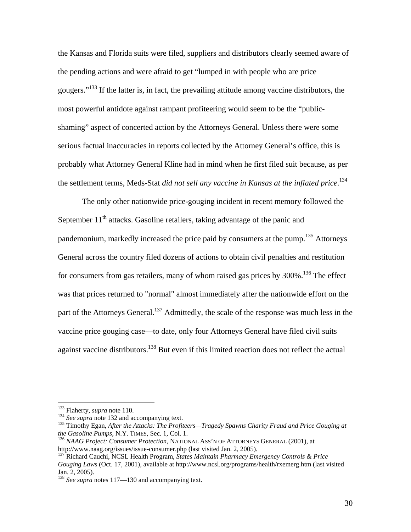the Kansas and Florida suits were filed, suppliers and distributors clearly seemed aware of the pending actions and were afraid to get "lumped in with people who are price gougers."133 If the latter is, in fact, the prevailing attitude among vaccine distributors, the most powerful antidote against rampant profiteering would seem to be the "publicshaming" aspect of concerted action by the Attorneys General. Unless there were some serious factual inaccuracies in reports collected by the Attorney General's office, this is probably what Attorney General Kline had in mind when he first filed suit because, as per the settlement terms, Meds-Stat *did not sell any vaccine in Kansas at the inflated price*. 134

The only other nationwide price-gouging incident in recent memory followed the September  $11<sup>th</sup>$  attacks. Gasoline retailers, taking advantage of the panic and pandemonium, markedly increased the price paid by consumers at the pump.135 Attorneys General across the country filed dozens of actions to obtain civil penalties and restitution for consumers from gas retailers, many of whom raised gas prices by 300%.<sup>136</sup> The effect was that prices returned to "normal" almost immediately after the nationwide effort on the part of the Attorneys General.<sup>137</sup> Admittedly, the scale of the response was much less in the vaccine price gouging case—to date, only four Attorneys General have filed civil suits against vaccine distributors.<sup>138</sup> But even if this limited reaction does not reflect the actual

<sup>&</sup>lt;sup>133</sup> Flaherty, *supra* note 110.<br><sup>134</sup> *See supra* note 132 and accompanying text.<br><sup>135</sup> Timothy Egan, *After the Attacks: The Profiteers—Tragedy Spawns Charity Fraud and Price Gouging at the Gasoline Pumps, N.Y. TIMES, S* 

<sup>&</sup>lt;sup>136</sup> *NAAG Project: Consumer Protection*, NATIONAL ASS'N OF ATTORNEYS GENERAL (2001), at http://www.naag.org/issues/issue-consumer.php (last visited Jan. 2, 2005).

<sup>&</sup>lt;sup>137</sup> Richard Cauchi, NCSL Health Program, *States Maintain Pharmacy Emergency Controls & Price Gouging Laws* (Oct. 17, 2001), available at http://www.ncsl.org/programs/health/rxemerg.htm (last visited Jan. 2, 2005).

<sup>138</sup> *See supra* notes 117—130 and accompanying text.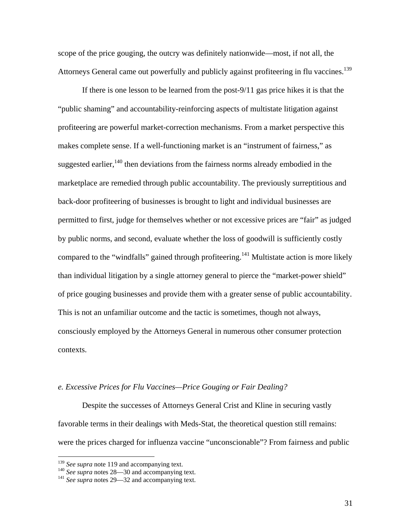scope of the price gouging, the outcry was definitely nationwide—most, if not all, the Attorneys General came out powerfully and publicly against profiteering in flu vaccines.<sup>139</sup>

If there is one lesson to be learned from the post-9/11 gas price hikes it is that the "public shaming" and accountability-reinforcing aspects of multistate litigation against profiteering are powerful market-correction mechanisms. From a market perspective this makes complete sense. If a well-functioning market is an "instrument of fairness," as suggested earlier, $140$  then deviations from the fairness norms already embodied in the marketplace are remedied through public accountability. The previously surreptitious and back-door profiteering of businesses is brought to light and individual businesses are permitted to first, judge for themselves whether or not excessive prices are "fair" as judged by public norms, and second, evaluate whether the loss of goodwill is sufficiently costly compared to the "windfalls" gained through profiteering.<sup>141</sup> Multistate action is more likely than individual litigation by a single attorney general to pierce the "market-power shield" of price gouging businesses and provide them with a greater sense of public accountability. This is not an unfamiliar outcome and the tactic is sometimes, though not always, consciously employed by the Attorneys General in numerous other consumer protection contexts.

# *e. Excessive Prices for Flu Vaccines—Price Gouging or Fair Dealing?*

 Despite the successes of Attorneys General Crist and Kline in securing vastly favorable terms in their dealings with Meds-Stat, the theoretical question still remains: were the prices charged for influenza vaccine "unconscionable"? From fairness and public

<sup>&</sup>lt;sup>139</sup> *See supra* note 119 and accompanying text.<br><sup>140</sup> *See supra* notes 28—30 and accompanying text.<br><sup>141</sup> *See supra* notes 29—32 and accompanying text.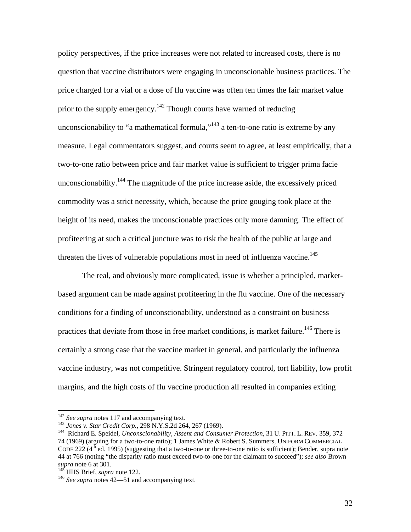policy perspectives, if the price increases were not related to increased costs, there is no question that vaccine distributors were engaging in unconscionable business practices. The price charged for a vial or a dose of flu vaccine was often ten times the fair market value prior to the supply emergency.<sup>142</sup> Though courts have warned of reducing unconscionability to "a mathematical formula,"<sup>143</sup> a ten-to-one ratio is extreme by any measure. Legal commentators suggest, and courts seem to agree, at least empirically, that a two-to-one ratio between price and fair market value is sufficient to trigger prima facie unconscionability.<sup>144</sup> The magnitude of the price increase aside, the excessively priced commodity was a strict necessity, which, because the price gouging took place at the height of its need, makes the unconscionable practices only more damning. The effect of profiteering at such a critical juncture was to risk the health of the public at large and threaten the lives of vulnerable populations most in need of influenza vaccine.<sup>145</sup>

The real, and obviously more complicated, issue is whether a principled, marketbased argument can be made against profiteering in the flu vaccine. One of the necessary conditions for a finding of unconscionability, understood as a constraint on business practices that deviate from those in free market conditions, is market failure.<sup>146</sup> There is certainly a strong case that the vaccine market in general, and particularly the influenza vaccine industry, was not competitive. Stringent regulatory control, tort liability, low profit margins, and the high costs of flu vaccine production all resulted in companies exiting

<sup>&</sup>lt;sup>142</sup> See supra notes 117 and accompanying text.<br><sup>143</sup> Jones v. Star Credit Corp., 298 N.Y.S.2d 264, 267 (1969).<br><sup>144</sup> Richard E. Speidel, *Unconscionability, Assent and Consumer Protection*, 31 U. PITT. L. REV. 359, 372— 74 (1969) (arguing for a two-to-one ratio); 1 James White & Robert S. Summers, UNIFORM COMMERCIAL CODE 222 ( $4<sup>th</sup>$  ed. 1995) (suggesting that a two-to-one or three-to-one ratio is sufficient); Bender, supra note 44 at 766 (noting "the disparity ratio must exceed two-to-one for the claimant to succeed"); *see also* Brown *supra* note 6 at 301. 145 HHS Brief, *supra* note 122. 146 *See supra* notes 42—51 and accompanying text.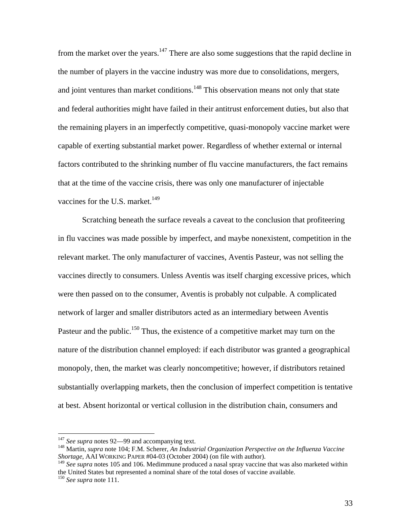from the market over the years.<sup>147</sup> There are also some suggestions that the rapid decline in the number of players in the vaccine industry was more due to consolidations, mergers, and joint ventures than market conditions.<sup>148</sup> This observation means not only that state and federal authorities might have failed in their antitrust enforcement duties, but also that the remaining players in an imperfectly competitive, quasi-monopoly vaccine market were capable of exerting substantial market power. Regardless of whether external or internal factors contributed to the shrinking number of flu vaccine manufacturers, the fact remains that at the time of the vaccine crisis, there was only one manufacturer of injectable vaccines for the U.S. market.<sup>149</sup>

 Scratching beneath the surface reveals a caveat to the conclusion that profiteering in flu vaccines was made possible by imperfect, and maybe nonexistent, competition in the relevant market. The only manufacturer of vaccines, Aventis Pasteur, was not selling the vaccines directly to consumers. Unless Aventis was itself charging excessive prices, which were then passed on to the consumer, Aventis is probably not culpable. A complicated network of larger and smaller distributors acted as an intermediary between Aventis Pasteur and the public.<sup>150</sup> Thus, the existence of a competitive market may turn on the nature of the distribution channel employed: if each distributor was granted a geographical monopoly, then, the market was clearly noncompetitive; however, if distributors retained substantially overlapping markets, then the conclusion of imperfect competition is tentative at best. Absent horizontal or vertical collusion in the distribution chain, consumers and

 $147$  See supra notes 92-99 and accompanying text.

<sup>&</sup>lt;sup>148</sup> Martin, *supra* note 104; F.M. Scherer, An Industrial Organization Perspective on the Influenza Vaccine *Shortage*, AAI WORKING PAPER #04-03 (October 2004) (on file with author).

<sup>&</sup>lt;sup>149</sup> See supra notes 105 and 106. Medimmune produced a nasal spray vaccine that was also marketed within the United States but represented a nominal share of the total doses of vaccine available. 150 *See supra* note 111.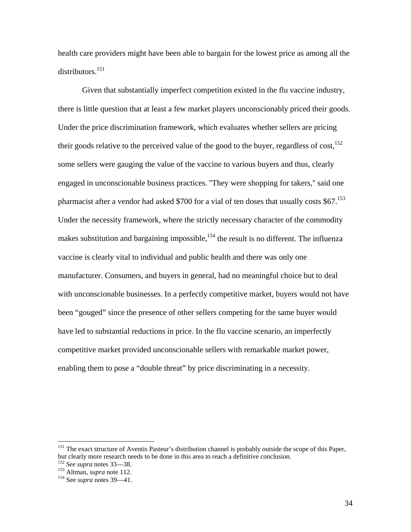health care providers might have been able to bargain for the lowest price as among all the distributors.<sup>151</sup>

 Given that substantially imperfect competition existed in the flu vaccine industry, there is little question that at least a few market players unconscionably priced their goods. Under the price discrimination framework, which evaluates whether sellers are pricing their goods relative to the perceived value of the good to the buyer, regardless of  $cost<sub>1</sub><sup>152</sup>$ some sellers were gauging the value of the vaccine to various buyers and thus, clearly engaged in unconscionable business practices. ''They were shopping for takers,'' said one pharmacist after a vendor had asked \$700 for a vial of ten doses that usually costs \$67.<sup>153</sup> Under the necessity framework, where the strictly necessary character of the commodity makes substitution and bargaining impossible,<sup>154</sup> the result is no different. The influenza vaccine is clearly vital to individual and public health and there was only one manufacturer. Consumers, and buyers in general, had no meaningful choice but to deal with unconscionable businesses. In a perfectly competitive market, buyers would not have been "gouged" since the presence of other sellers competing for the same buyer would have led to substantial reductions in price. In the flu vaccine scenario, an imperfectly competitive market provided unconscionable sellers with remarkable market power, enabling them to pose a "double threat" by price discriminating in a necessity.

<sup>&</sup>lt;sup>151</sup> The exact structure of Aventis Pasteur's distribution channel is probably outside the scope of this Paper, but clearly more research needs to be done in this area to reach a definitive conclusion. 152 *See supra* notes 33—38. 153 Altman, *supra* note 112. 154 See *supra* notes 39—41.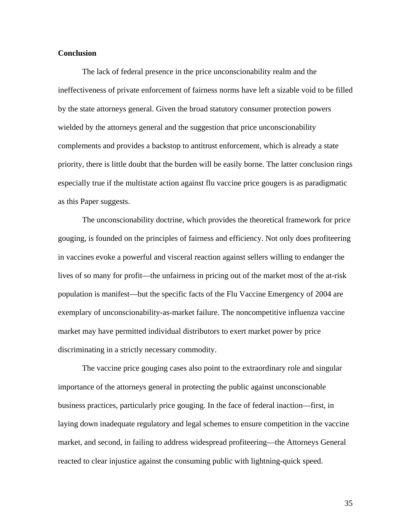#### **Conclusion**

The lack of federal presence in the price unconscionability realm and the ineffectiveness of private enforcement of fairness norms have left a sizable void to be filled by the state attorneys general. Given the broad statutory consumer protection powers wielded by the attorneys general and the suggestion that price unconscionability complements and provides a backstop to antitrust enforcement, which is already a state priority, there is little doubt that the burden will be easily borne. The latter conclusion rings especially true if the multistate action against flu vaccine price gougers is as paradigmatic as this Paper suggests.

The unconscionability doctrine, which provides the theoretical framework for price gouging, is founded on the principles of fairness and efficiency. Not only does profiteering in vaccines evoke a powerful and visceral reaction against sellers willing to endanger the lives of so many for profit—the unfairness in pricing out of the market most of the at-risk population is manifest—but the specific facts of the Flu Vaccine Emergency of 2004 are exemplary of unconscionability-as-market failure. The noncompetitive influenza vaccine market may have permitted individual distributors to exert market power by price discriminating in a strictly necessary commodity.

 The vaccine price gouging cases also point to the extraordinary role and singular importance of the attorneys general in protecting the public against unconscionable business practices, particularly price gouging. In the face of federal inaction—first, in laying down inadequate regulatory and legal schemes to ensure competition in the vaccine market, and second, in failing to address widespread profiteering—the Attorneys General reacted to clear injustice against the consuming public with lightning-quick speed.

35